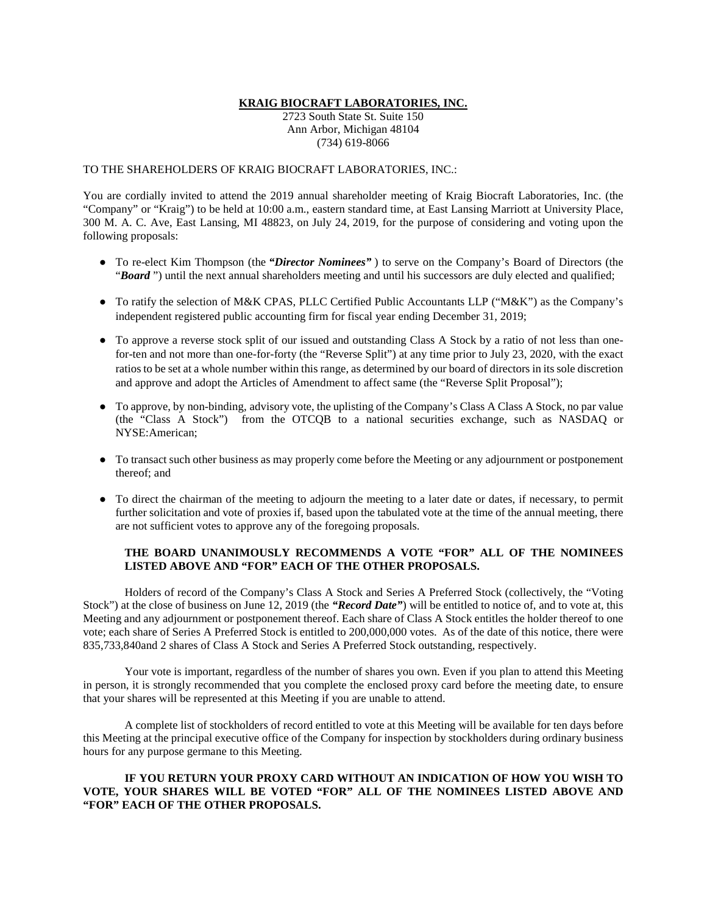### **KRAIG BIOCRAFT LABORATORIES, INC.**

2723 South State St. Suite 150 Ann Arbor, Michigan 48104 (734) 619-8066

# TO THE SHAREHOLDERS OF KRAIG BIOCRAFT LABORATORIES, INC.:

You are cordially invited to attend the 2019 annual shareholder meeting of Kraig Biocraft Laboratories, Inc. (the "Company" or "Kraig") to be held at 10:00 a.m., eastern standard time, at East Lansing Marriott at University Place, 300 M. A. C. Ave, East Lansing, MI 48823, on July 24, 2019, for the purpose of considering and voting upon the following proposals:

- To re-elect Kim Thompson (the *"Director Nominees"* ) to serve on the Company's Board of Directors (the "*Board*") until the next annual shareholders meeting and until his successors are duly elected and qualified;
- To ratify the selection of M&K CPAS, PLLC Certified Public Accountants LLP ("M&K") as the Company's independent registered public accounting firm for fiscal year ending December 31, 2019;
- To approve a reverse stock split of our issued and outstanding Class A Stock by a ratio of not less than onefor-ten and not more than one-for-forty (the "Reverse Split") at any time prior to July 23, 2020, with the exact ratios to be set at a whole number within this range, as determined by our board of directors in its sole discretion and approve and adopt the Articles of Amendment to affect same (the "Reverse Split Proposal");
- To approve, by non-binding, advisory vote, the uplisting of the Company's Class A Class A Stock, no par value (the "Class A Stock") from the OTCQB to a national securities exchange, such as NASDAQ or NYSE:American;
- To transact such other business as may properly come before the Meeting or any adjournment or postponement thereof; and
- To direct the chairman of the meeting to adjourn the meeting to a later date or dates, if necessary, to permit further solicitation and vote of proxies if, based upon the tabulated vote at the time of the annual meeting, there are not sufficient votes to approve any of the foregoing proposals.

# **THE BOARD UNANIMOUSLY RECOMMENDS A VOTE "FOR" ALL OF THE NOMINEES LISTED ABOVE AND "FOR" EACH OF THE OTHER PROPOSALS.**

Holders of record of the Company's Class A Stock and Series A Preferred Stock (collectively, the "Voting Stock") at the close of business on June 12, 2019 (the "**Record Date**") will be entitled to notice of, and to vote at, this Meeting and any adjournment or postponement thereof. Each share of Class A Stock entitles the holder thereof to one vote; each share of Series A Preferred Stock is entitled to 200,000,000 votes. As of the date of this notice, there were 835,733,840and 2 shares of Class A Stock and Series A Preferred Stock outstanding, respectively.

Your vote is important, regardless of the number of shares you own. Even if you plan to attend this Meeting in person, it is strongly recommended that you complete the enclosed proxy card before the meeting date, to ensure that your shares will be represented at this Meeting if you are unable to attend.

A complete list of stockholders of record entitled to vote at this Meeting will be available for ten days before this Meeting at the principal executive office of the Company for inspection by stockholders during ordinary business hours for any purpose germane to this Meeting.

# **IF YOU RETURN YOUR PROXY CARD WITHOUT AN INDICATION OF HOW YOU WISH TO VOTE, YOUR SHARES WILL BE VOTED "FOR" ALL OF THE NOMINEES LISTED ABOVE AND "FOR" EACH OF THE OTHER PROPOSALS.**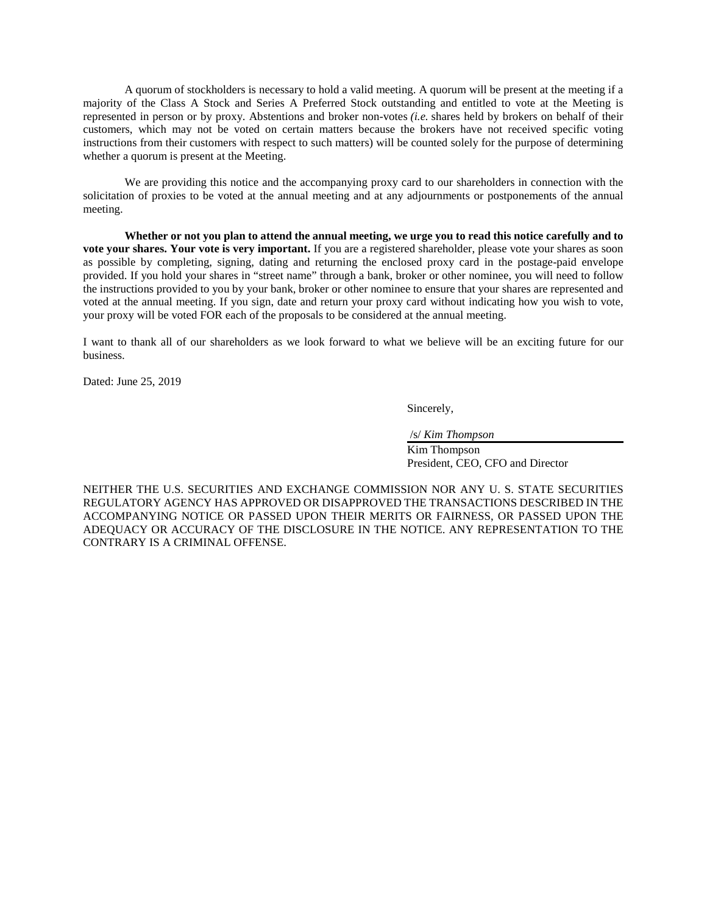A quorum of stockholders is necessary to hold a valid meeting. A quorum will be present at the meeting if a majority of the Class A Stock and Series A Preferred Stock outstanding and entitled to vote at the Meeting is represented in person or by proxy. Abstentions and broker non-votes *(i.e.* shares held by brokers on behalf of their customers, which may not be voted on certain matters because the brokers have not received specific voting instructions from their customers with respect to such matters) will be counted solely for the purpose of determining whether a quorum is present at the Meeting.

We are providing this notice and the accompanying proxy card to our shareholders in connection with the solicitation of proxies to be voted at the annual meeting and at any adjournments or postponements of the annual meeting.

**Whether or not you plan to attend the annual meeting, we urge you to read this notice carefully and to vote your shares. Your vote is very important.** If you are a registered shareholder, please vote your shares as soon as possible by completing, signing, dating and returning the enclosed proxy card in the postage-paid envelope provided. If you hold your shares in "street name" through a bank, broker or other nominee, you will need to follow the instructions provided to you by your bank, broker or other nominee to ensure that your shares are represented and voted at the annual meeting. If you sign, date and return your proxy card without indicating how you wish to vote, your proxy will be voted FOR each of the proposals to be considered at the annual meeting.

I want to thank all of our shareholders as we look forward to what we believe will be an exciting future for our business.

Dated: June 25, 2019

Sincerely,

/s/ *Kim Thompson*

Kim Thompson President, CEO, CFO and Director

NEITHER THE U.S. SECURITIES AND EXCHANGE COMMISSION NOR ANY U. S. STATE SECURITIES REGULATORY AGENCY HAS APPROVED OR DISAPPROVED THE TRANSACTIONS DESCRIBED IN THE ACCOMPANYING NOTICE OR PASSED UPON THEIR MERITS OR FAIRNESS, OR PASSED UPON THE ADEQUACY OR ACCURACY OF THE DISCLOSURE IN THE NOTICE. ANY REPRESENTATION TO THE CONTRARY IS A CRIMINAL OFFENSE.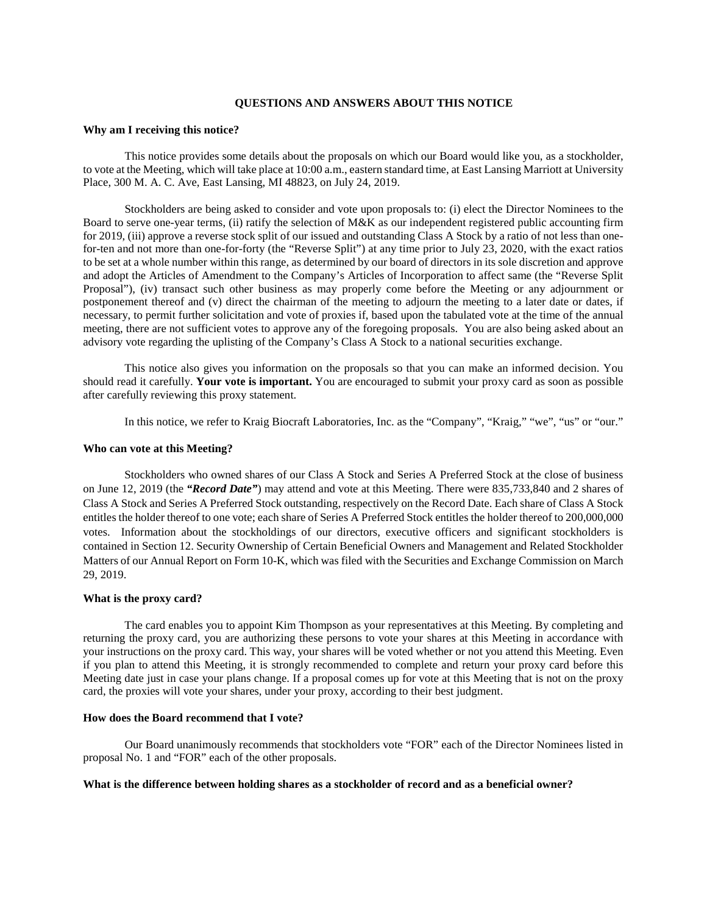#### **QUESTIONS AND ANSWERS ABOUT THIS NOTICE**

### **Why am I receiving this notice?**

This notice provides some details about the proposals on which our Board would like you, as a stockholder, to vote at the Meeting, which will take place at 10:00 a.m., eastern standard time, at East Lansing Marriott at University Place, 300 M. A. C. Ave, East Lansing, MI 48823, on July 24, 2019.

Stockholders are being asked to consider and vote upon proposals to: (i) elect the Director Nominees to the Board to serve one-year terms, (ii) ratify the selection of M&K as our independent registered public accounting firm for 2019, (iii) approve a reverse stock split of our issued and outstanding Class A Stock by a ratio of not less than onefor-ten and not more than one-for-forty (the "Reverse Split") at any time prior to July 23, 2020, with the exact ratios to be set at a whole number within this range, as determined by our board of directors in its sole discretion and approve and adopt the Articles of Amendment to the Company's Articles of Incorporation to affect same (the "Reverse Split Proposal"), (iv) transact such other business as may properly come before the Meeting or any adjournment or postponement thereof and (v) direct the chairman of the meeting to adjourn the meeting to a later date or dates, if necessary, to permit further solicitation and vote of proxies if, based upon the tabulated vote at the time of the annual meeting, there are not sufficient votes to approve any of the foregoing proposals. You are also being asked about an advisory vote regarding the uplisting of the Company's Class A Stock to a national securities exchange.

This notice also gives you information on the proposals so that you can make an informed decision. You should read it carefully. **Your vote is important.** You are encouraged to submit your proxy card as soon as possible after carefully reviewing this proxy statement.

In this notice, we refer to Kraig Biocraft Laboratories, Inc. as the "Company", "Kraig," "we", "us" or "our."

#### **Who can vote at this Meeting?**

Stockholders who owned shares of our Class A Stock and Series A Preferred Stock at the close of business on June 12, 2019 (the *"Record Date"*) may attend and vote at this Meeting. There were 835,733,840 and 2 shares of Class A Stock and Series A Preferred Stock outstanding, respectively on the Record Date. Each share of Class A Stock entitles the holder thereof to one vote; each share of Series A Preferred Stock entitles the holder thereof to 200,000,000 votes. Information about the stockholdings of our directors, executive officers and significant stockholders is contained in Section 12. Security Ownership of Certain Beneficial Owners and Management and Related Stockholder Matters of our Annual Report on Form 10-K, which was filed with the Securities and Exchange Commission on March 29, 2019.

#### **What is the proxy card?**

The card enables you to appoint Kim Thompson as your representatives at this Meeting. By completing and returning the proxy card, you are authorizing these persons to vote your shares at this Meeting in accordance with your instructions on the proxy card. This way, your shares will be voted whether or not you attend this Meeting. Even if you plan to attend this Meeting, it is strongly recommended to complete and return your proxy card before this Meeting date just in case your plans change. If a proposal comes up for vote at this Meeting that is not on the proxy card, the proxies will vote your shares, under your proxy, according to their best judgment.

#### **How does the Board recommend that I vote?**

Our Board unanimously recommends that stockholders vote "FOR" each of the Director Nominees listed in proposal No. 1 and "FOR" each of the other proposals.

### **What is the difference between holding shares as a stockholder of record and as a beneficial owner?**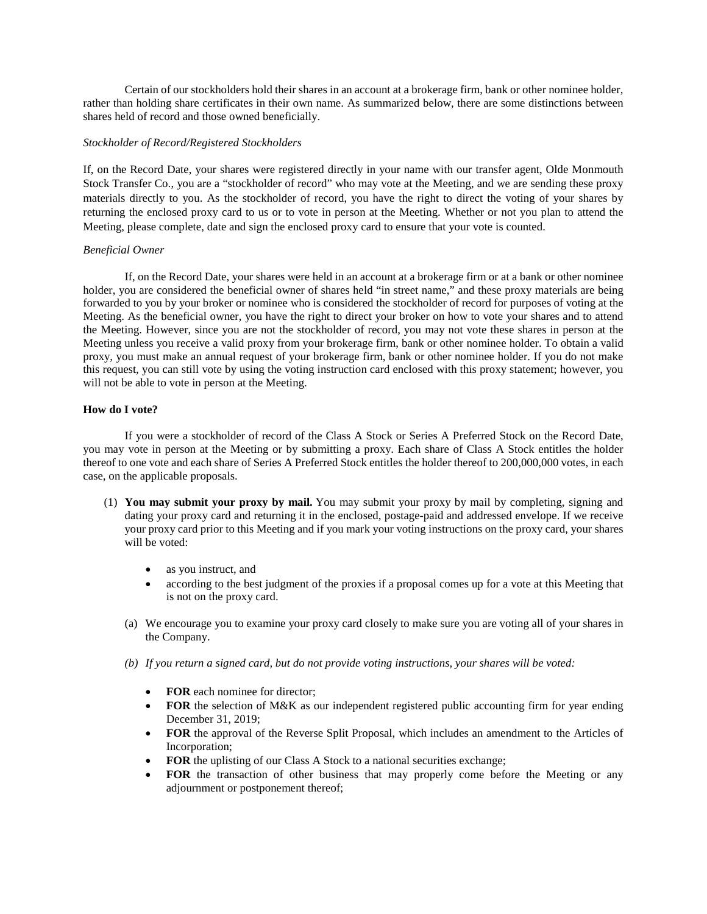Certain of our stockholders hold their shares in an account at a brokerage firm, bank or other nominee holder, rather than holding share certificates in their own name. As summarized below, there are some distinctions between shares held of record and those owned beneficially.

# *Stockholder of Record/Registered Stockholders*

If, on the Record Date, your shares were registered directly in your name with our transfer agent, Olde Monmouth Stock Transfer Co., you are a "stockholder of record" who may vote at the Meeting, and we are sending these proxy materials directly to you. As the stockholder of record, you have the right to direct the voting of your shares by returning the enclosed proxy card to us or to vote in person at the Meeting. Whether or not you plan to attend the Meeting, please complete, date and sign the enclosed proxy card to ensure that your vote is counted.

# *Beneficial Owner*

If, on the Record Date, your shares were held in an account at a brokerage firm or at a bank or other nominee holder, you are considered the beneficial owner of shares held "in street name," and these proxy materials are being forwarded to you by your broker or nominee who is considered the stockholder of record for purposes of voting at the Meeting. As the beneficial owner, you have the right to direct your broker on how to vote your shares and to attend the Meeting. However, since you are not the stockholder of record, you may not vote these shares in person at the Meeting unless you receive a valid proxy from your brokerage firm, bank or other nominee holder. To obtain a valid proxy, you must make an annual request of your brokerage firm, bank or other nominee holder. If you do not make this request, you can still vote by using the voting instruction card enclosed with this proxy statement; however, you will not be able to vote in person at the Meeting.

# **How do I vote?**

If you were a stockholder of record of the Class A Stock or Series A Preferred Stock on the Record Date, you may vote in person at the Meeting or by submitting a proxy. Each share of Class A Stock entitles the holder thereof to one vote and each share of Series A Preferred Stock entitles the holder thereof to 200,000,000 votes, in each case, on the applicable proposals.

- (1) **You may submit your proxy by mail.** You may submit your proxy by mail by completing, signing and dating your proxy card and returning it in the enclosed, postage-paid and addressed envelope. If we receive your proxy card prior to this Meeting and if you mark your voting instructions on the proxy card, your shares will be voted:
	- as you instruct, and
	- according to the best judgment of the proxies if a proposal comes up for a vote at this Meeting that is not on the proxy card.
	- (a) We encourage you to examine your proxy card closely to make sure you are voting all of your shares in the Company.
	- *(b) If you return a signed card, but do not provide voting instructions, your shares will be voted:*
		- **FOR** each nominee for director;
		- **FOR** the selection of M&K as our independent registered public accounting firm for year ending December 31, 2019;
		- **FOR** the approval of the Reverse Split Proposal, which includes an amendment to the Articles of Incorporation;
		- **FOR** the uplisting of our Class A Stock to a national securities exchange;
		- **FOR** the transaction of other business that may properly come before the Meeting or any adjournment or postponement thereof;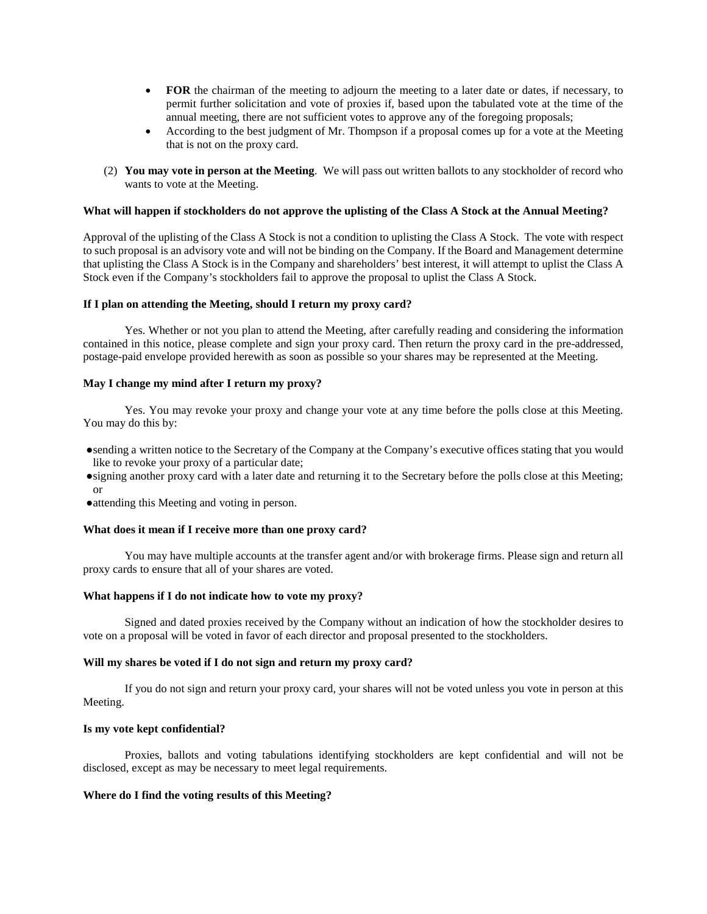- **FOR** the chairman of the meeting to adjourn the meeting to a later date or dates, if necessary, to permit further solicitation and vote of proxies if, based upon the tabulated vote at the time of the annual meeting, there are not sufficient votes to approve any of the foregoing proposals;
- According to the best judgment of Mr. Thompson if a proposal comes up for a vote at the Meeting that is not on the proxy card.
- (2) **You may vote in person at the Meeting**. We will pass out written ballots to any stockholder of record who wants to vote at the Meeting.

### **What will happen if stockholders do not approve the uplisting of the Class A Stock at the Annual Meeting?**

Approval of the uplisting of the Class A Stock is not a condition to uplisting the Class A Stock. The vote with respect to such proposal is an advisory vote and will not be binding on the Company. If the Board and Management determine that uplisting the Class A Stock is in the Company and shareholders' best interest, it will attempt to uplist the Class A Stock even if the Company's stockholders fail to approve the proposal to uplist the Class A Stock.

## **If I plan on attending the Meeting, should I return my proxy card?**

Yes. Whether or not you plan to attend the Meeting, after carefully reading and considering the information contained in this notice, please complete and sign your proxy card. Then return the proxy card in the pre-addressed, postage-paid envelope provided herewith as soon as possible so your shares may be represented at the Meeting.

### **May I change my mind after I return my proxy?**

Yes. You may revoke your proxy and change your vote at any time before the polls close at this Meeting. You may do this by:

- ●sending a written notice to the Secretary of the Company at the Company's executive offices stating that you would like to revoke your proxy of a particular date;
- ●signing another proxy card with a later date and returning it to the Secretary before the polls close at this Meeting; or
- ●attending this Meeting and voting in person.

### **What does it mean if I receive more than one proxy card?**

You may have multiple accounts at the transfer agent and/or with brokerage firms. Please sign and return all proxy cards to ensure that all of your shares are voted.

# **What happens if I do not indicate how to vote my proxy?**

Signed and dated proxies received by the Company without an indication of how the stockholder desires to vote on a proposal will be voted in favor of each director and proposal presented to the stockholders.

## **Will my shares be voted if I do not sign and return my proxy card?**

If you do not sign and return your proxy card, your shares will not be voted unless you vote in person at this Meeting.

### **Is my vote kept confidential?**

Proxies, ballots and voting tabulations identifying stockholders are kept confidential and will not be disclosed, except as may be necessary to meet legal requirements.

# **Where do I find the voting results of this Meeting?**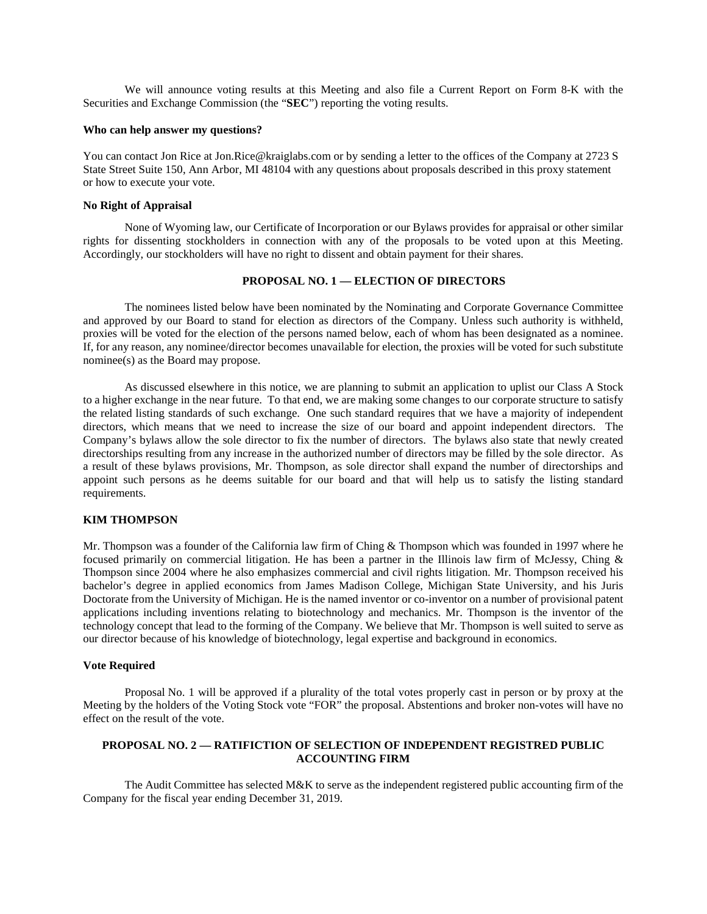We will announce voting results at this Meeting and also file a Current Report on Form 8-K with the Securities and Exchange Commission (the "**SEC**") reporting the voting results.

## **Who can help answer my questions?**

You can contact Jon Rice at Jon.Rice@kraiglabs.com or by sending a letter to the offices of the Company at 2723 S State Street Suite 150, Ann Arbor, MI 48104 with any questions about proposals described in this proxy statement or how to execute your vote.

#### **No Right of Appraisal**

None of Wyoming law, our Certificate of Incorporation or our Bylaws provides for appraisal or other similar rights for dissenting stockholders in connection with any of the proposals to be voted upon at this Meeting. Accordingly, our stockholders will have no right to dissent and obtain payment for their shares.

## **PROPOSAL NO. 1 — ELECTION OF DIRECTORS**

The nominees listed below have been nominated by the Nominating and Corporate Governance Committee and approved by our Board to stand for election as directors of the Company. Unless such authority is withheld, proxies will be voted for the election of the persons named below, each of whom has been designated as a nominee. If, for any reason, any nominee/director becomes unavailable for election, the proxies will be voted for such substitute nominee(s) as the Board may propose.

As discussed elsewhere in this notice, we are planning to submit an application to uplist our Class A Stock to a higher exchange in the near future. To that end, we are making some changes to our corporate structure to satisfy the related listing standards of such exchange. One such standard requires that we have a majority of independent directors, which means that we need to increase the size of our board and appoint independent directors. The Company's bylaws allow the sole director to fix the number of directors. The bylaws also state that newly created directorships resulting from any increase in the authorized number of directors may be filled by the sole director. As a result of these bylaws provisions, Mr. Thompson, as sole director shall expand the number of directorships and appoint such persons as he deems suitable for our board and that will help us to satisfy the listing standard requirements.

## **KIM THOMPSON**

Mr. Thompson was a founder of the California law firm of Ching & Thompson which was founded in 1997 where he focused primarily on commercial litigation. He has been a partner in the Illinois law firm of McJessy, Ching & Thompson since 2004 where he also emphasizes commercial and civil rights litigation. Mr. Thompson received his bachelor's degree in applied economics from James Madison College, Michigan State University, and his Juris Doctorate from the University of Michigan. He is the named inventor or co-inventor on a number of provisional patent applications including inventions relating to biotechnology and mechanics. Mr. Thompson is the inventor of the technology concept that lead to the forming of the Company. We believe that Mr. Thompson is well suited to serve as our director because of his knowledge of biotechnology, legal expertise and background in economics.

# **Vote Required**

Proposal No. 1 will be approved if a plurality of the total votes properly cast in person or by proxy at the Meeting by the holders of the Voting Stock vote "FOR" the proposal. Abstentions and broker non-votes will have no effect on the result of the vote.

# **PROPOSAL NO. 2 — RATIFICTION OF SELECTION OF INDEPENDENT REGISTRED PUBLIC ACCOUNTING FIRM**

The Audit Committee has selected M&K to serve as the independent registered public accounting firm of the Company for the fiscal year ending December 31, 2019.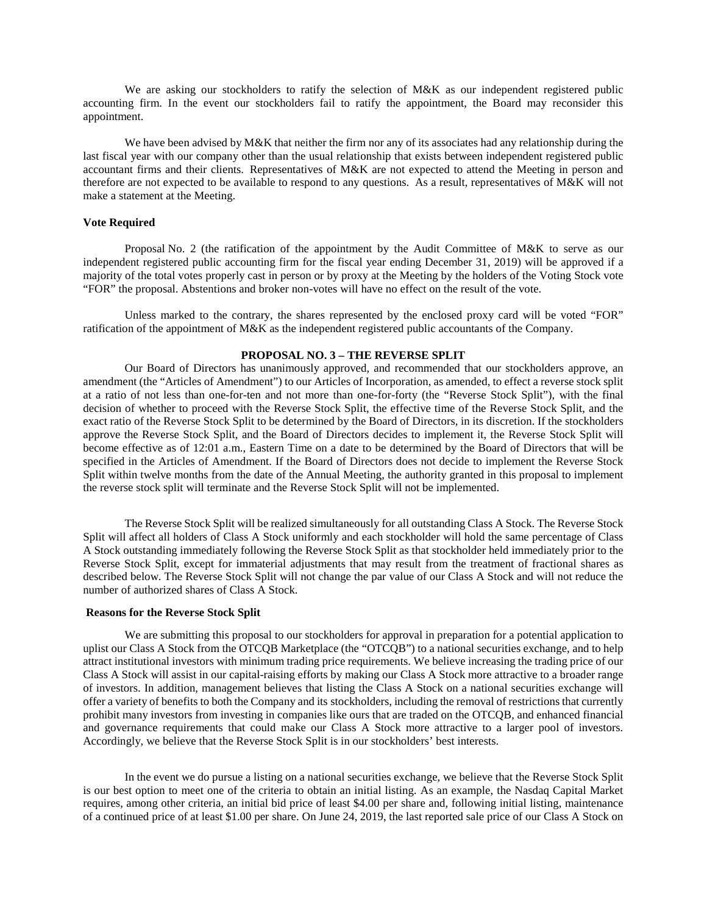We are asking our stockholders to ratify the selection of M&K as our independent registered public accounting firm. In the event our stockholders fail to ratify the appointment, the Board may reconsider this appointment.

We have been advised by M&K that neither the firm nor any of its associates had any relationship during the last fiscal year with our company other than the usual relationship that exists between independent registered public accountant firms and their clients. Representatives of M&K are not expected to attend the Meeting in person and therefore are not expected to be available to respond to any questions. As a result, representatives of M&K will not make a statement at the Meeting.

# **Vote Required**

Proposal No. 2 (the ratification of the appointment by the Audit Committee of M&K to serve as our independent registered public accounting firm for the fiscal year ending December 31, 2019) will be approved if a majority of the total votes properly cast in person or by proxy at the Meeting by the holders of the Voting Stock vote "FOR" the proposal. Abstentions and broker non-votes will have no effect on the result of the vote.

Unless marked to the contrary, the shares represented by the enclosed proxy card will be voted "FOR" ratification of the appointment of M&K as the independent registered public accountants of the Company.

## **PROPOSAL NO. 3 – THE REVERSE SPLIT**

Our Board of Directors has unanimously approved, and recommended that our stockholders approve, an amendment (the "Articles of Amendment") to our Articles of Incorporation, as amended, to effect a reverse stock split at a ratio of not less than one-for-ten and not more than one-for-forty (the "Reverse Stock Split"), with the final decision of whether to proceed with the Reverse Stock Split, the effective time of the Reverse Stock Split, and the exact ratio of the Reverse Stock Split to be determined by the Board of Directors, in its discretion. If the stockholders approve the Reverse Stock Split, and the Board of Directors decides to implement it, the Reverse Stock Split will become effective as of 12:01 a.m., Eastern Time on a date to be determined by the Board of Directors that will be specified in the Articles of Amendment. If the Board of Directors does not decide to implement the Reverse Stock Split within twelve months from the date of the Annual Meeting, the authority granted in this proposal to implement the reverse stock split will terminate and the Reverse Stock Split will not be implemented.

The Reverse Stock Split will be realized simultaneously for all outstanding Class A Stock. The Reverse Stock Split will affect all holders of Class A Stock uniformly and each stockholder will hold the same percentage of Class A Stock outstanding immediately following the Reverse Stock Split as that stockholder held immediately prior to the Reverse Stock Split, except for immaterial adjustments that may result from the treatment of fractional shares as described below. The Reverse Stock Split will not change the par value of our Class A Stock and will not reduce the number of authorized shares of Class A Stock.

### **Reasons for the Reverse Stock Split**

We are submitting this proposal to our stockholders for approval in preparation for a potential application to uplist our Class A Stock from the OTCQB Marketplace (the "OTCQB") to a national securities exchange, and to help attract institutional investors with minimum trading price requirements. We believe increasing the trading price of our Class A Stock will assist in our capital-raising efforts by making our Class A Stock more attractive to a broader range of investors. In addition, management believes that listing the Class A Stock on a national securities exchange will offer a variety of benefits to both the Company and its stockholders, including the removal of restrictions that currently prohibit many investors from investing in companies like ours that are traded on the OTCQB, and enhanced financial and governance requirements that could make our Class A Stock more attractive to a larger pool of investors. Accordingly, we believe that the Reverse Stock Split is in our stockholders' best interests.

In the event we do pursue a listing on a national securities exchange, we believe that the Reverse Stock Split is our best option to meet one of the criteria to obtain an initial listing. As an example, the Nasdaq Capital Market requires, among other criteria, an initial bid price of least \$4.00 per share and, following initial listing, maintenance of a continued price of at least \$1.00 per share. On June 24, 2019, the last reported sale price of our Class A Stock on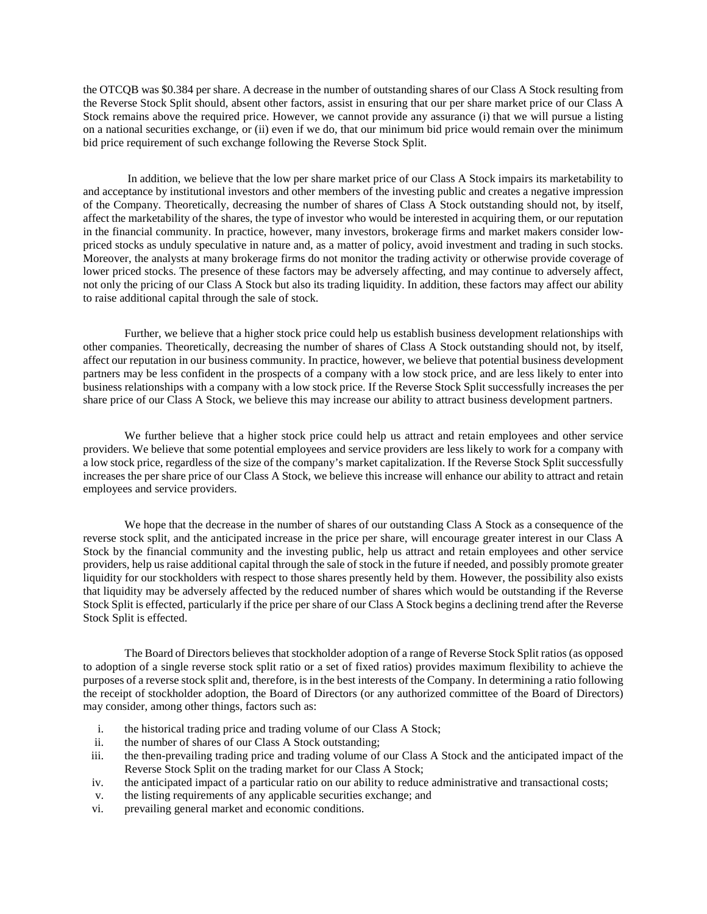the OTCQB was \$0.384 per share. A decrease in the number of outstanding shares of our Class A Stock resulting from the Reverse Stock Split should, absent other factors, assist in ensuring that our per share market price of our Class A Stock remains above the required price. However, we cannot provide any assurance (i) that we will pursue a listing on a national securities exchange, or (ii) even if we do, that our minimum bid price would remain over the minimum bid price requirement of such exchange following the Reverse Stock Split.

In addition, we believe that the low per share market price of our Class A Stock impairs its marketability to and acceptance by institutional investors and other members of the investing public and creates a negative impression of the Company. Theoretically, decreasing the number of shares of Class A Stock outstanding should not, by itself, affect the marketability of the shares, the type of investor who would be interested in acquiring them, or our reputation in the financial community. In practice, however, many investors, brokerage firms and market makers consider lowpriced stocks as unduly speculative in nature and, as a matter of policy, avoid investment and trading in such stocks. Moreover, the analysts at many brokerage firms do not monitor the trading activity or otherwise provide coverage of lower priced stocks. The presence of these factors may be adversely affecting, and may continue to adversely affect, not only the pricing of our Class A Stock but also its trading liquidity. In addition, these factors may affect our ability to raise additional capital through the sale of stock.

Further, we believe that a higher stock price could help us establish business development relationships with other companies. Theoretically, decreasing the number of shares of Class A Stock outstanding should not, by itself, affect our reputation in our business community. In practice, however, we believe that potential business development partners may be less confident in the prospects of a company with a low stock price, and are less likely to enter into business relationships with a company with a low stock price. If the Reverse Stock Split successfully increases the per share price of our Class A Stock, we believe this may increase our ability to attract business development partners.

We further believe that a higher stock price could help us attract and retain employees and other service providers. We believe that some potential employees and service providers are less likely to work for a company with a low stock price, regardless of the size of the company's market capitalization. If the Reverse Stock Split successfully increases the per share price of our Class A Stock, we believe this increase will enhance our ability to attract and retain employees and service providers.

We hope that the decrease in the number of shares of our outstanding Class A Stock as a consequence of the reverse stock split, and the anticipated increase in the price per share, will encourage greater interest in our Class A Stock by the financial community and the investing public, help us attract and retain employees and other service providers, help us raise additional capital through the sale of stock in the future if needed, and possibly promote greater liquidity for our stockholders with respect to those shares presently held by them. However, the possibility also exists that liquidity may be adversely affected by the reduced number of shares which would be outstanding if the Reverse Stock Split is effected, particularly if the price per share of our Class A Stock begins a declining trend after the Reverse Stock Split is effected.

The Board of Directors believes that stockholder adoption of a range of Reverse Stock Split ratios (as opposed to adoption of a single reverse stock split ratio or a set of fixed ratios) provides maximum flexibility to achieve the purposes of a reverse stock split and, therefore, is in the best interests of the Company. In determining a ratio following the receipt of stockholder adoption, the Board of Directors (or any authorized committee of the Board of Directors) may consider, among other things, factors such as:

- i. the historical trading price and trading volume of our Class A Stock;
- ii. the number of shares of our Class A Stock outstanding;
- iii. the then-prevailing trading price and trading volume of our Class A Stock and the anticipated impact of the Reverse Stock Split on the trading market for our Class A Stock;
- iv. the anticipated impact of a particular ratio on our ability to reduce administrative and transactional costs;
- v. the listing requirements of any applicable securities exchange; and
- vi. prevailing general market and economic conditions.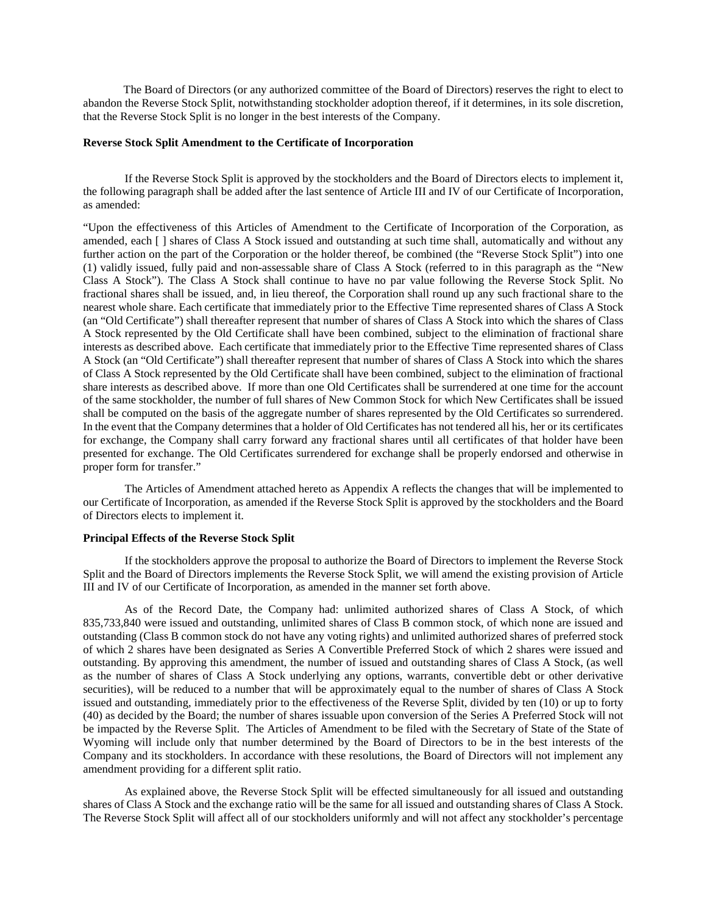The Board of Directors (or any authorized committee of the Board of Directors) reserves the right to elect to abandon the Reverse Stock Split, notwithstanding stockholder adoption thereof, if it determines, in its sole discretion, that the Reverse Stock Split is no longer in the best interests of the Company.

### **Reverse Stock Split Amendment to the Certificate of Incorporation**

If the Reverse Stock Split is approved by the stockholders and the Board of Directors elects to implement it, the following paragraph shall be added after the last sentence of Article III and IV of our Certificate of Incorporation, as amended:

"Upon the effectiveness of this Articles of Amendment to the Certificate of Incorporation of the Corporation, as amended, each [ ] shares of Class A Stock issued and outstanding at such time shall, automatically and without any further action on the part of the Corporation or the holder thereof, be combined (the "Reverse Stock Split") into one (1) validly issued, fully paid and non-assessable share of Class A Stock (referred to in this paragraph as the "New Class A Stock"). The Class A Stock shall continue to have no par value following the Reverse Stock Split. No fractional shares shall be issued, and, in lieu thereof, the Corporation shall round up any such fractional share to the nearest whole share. Each certificate that immediately prior to the Effective Time represented shares of Class A Stock (an "Old Certificate") shall thereafter represent that number of shares of Class A Stock into which the shares of Class A Stock represented by the Old Certificate shall have been combined, subject to the elimination of fractional share interests as described above. Each certificate that immediately prior to the Effective Time represented shares of Class A Stock (an "Old Certificate") shall thereafter represent that number of shares of Class A Stock into which the shares of Class A Stock represented by the Old Certificate shall have been combined, subject to the elimination of fractional share interests as described above. If more than one Old Certificates shall be surrendered at one time for the account of the same stockholder, the number of full shares of New Common Stock for which New Certificates shall be issued shall be computed on the basis of the aggregate number of shares represented by the Old Certificates so surrendered. In the event that the Company determines that a holder of Old Certificates has not tendered all his, her or its certificates for exchange, the Company shall carry forward any fractional shares until all certificates of that holder have been presented for exchange. The Old Certificates surrendered for exchange shall be properly endorsed and otherwise in proper form for transfer."

The Articles of Amendment attached hereto as Appendix A reflects the changes that will be implemented to our Certificate of Incorporation, as amended if the Reverse Stock Split is approved by the stockholders and the Board of Directors elects to implement it.

#### **Principal Effects of the Reverse Stock Split**

If the stockholders approve the proposal to authorize the Board of Directors to implement the Reverse Stock Split and the Board of Directors implements the Reverse Stock Split, we will amend the existing provision of Article III and IV of our Certificate of Incorporation, as amended in the manner set forth above.

As of the Record Date, the Company had: unlimited authorized shares of Class A Stock, of which 835,733,840 were issued and outstanding, unlimited shares of Class B common stock, of which none are issued and outstanding (Class B common stock do not have any voting rights) and unlimited authorized shares of preferred stock of which 2 shares have been designated as Series A Convertible Preferred Stock of which 2 shares were issued and outstanding. By approving this amendment, the number of issued and outstanding shares of Class A Stock, (as well as the number of shares of Class A Stock underlying any options, warrants, convertible debt or other derivative securities), will be reduced to a number that will be approximately equal to the number of shares of Class A Stock issued and outstanding, immediately prior to the effectiveness of the Reverse Split, divided by ten (10) or up to forty (40) as decided by the Board; the number of shares issuable upon conversion of the Series A Preferred Stock will not be impacted by the Reverse Split. The Articles of Amendment to be filed with the Secretary of State of the State of Wyoming will include only that number determined by the Board of Directors to be in the best interests of the Company and its stockholders. In accordance with these resolutions, the Board of Directors will not implement any amendment providing for a different split ratio.

As explained above, the Reverse Stock Split will be effected simultaneously for all issued and outstanding shares of Class A Stock and the exchange ratio will be the same for all issued and outstanding shares of Class A Stock. The Reverse Stock Split will affect all of our stockholders uniformly and will not affect any stockholder's percentage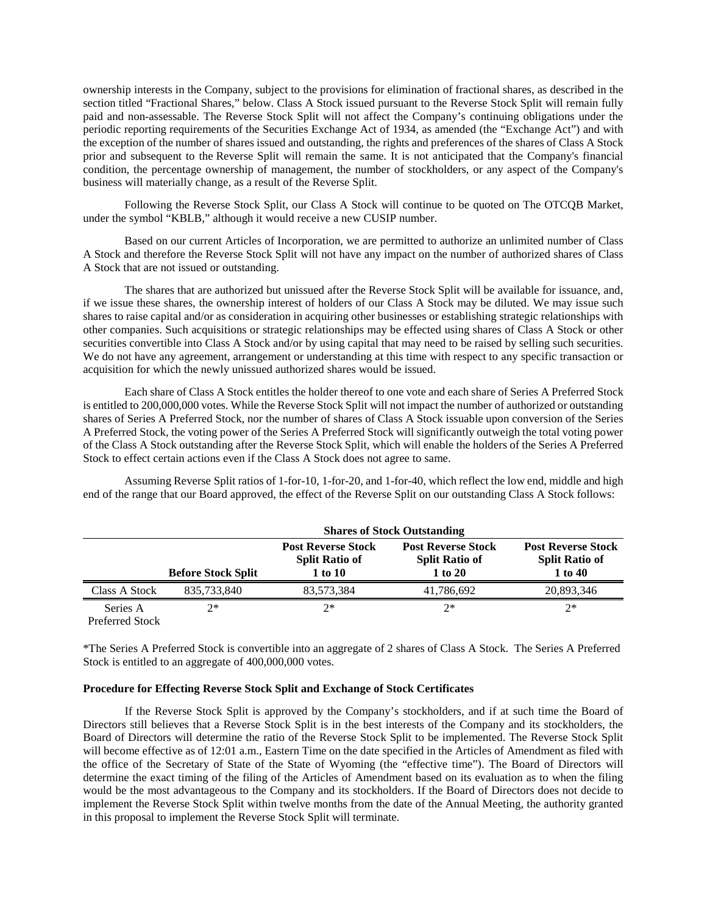ownership interests in the Company, subject to the provisions for elimination of fractional shares, as described in the section titled "Fractional Shares," below. Class A Stock issued pursuant to the Reverse Stock Split will remain fully paid and non-assessable. The Reverse Stock Split will not affect the Company's continuing obligations under the periodic reporting requirements of the [Securities Exchange Act of 1934,](http://apps.intelligize.com/SecuritiesDraftingAndCompliance?key=eyJ0eXBlIjoiU0RDX0RPQ1VNRU5UIiwiZGF0YSI6eyJjYXRlZ29yeU5hbWUiOiJTZWN1cml0aWVzIEV4Y2hhbmdlIEFjdCBvZiAxOTM0In19) as amended (the "Exchange Act") and with the exception of the number of shares issued and outstanding, the rights and preferences of the shares of Class A Stock prior and subsequent to the Reverse Split will remain the same. It is not anticipated that the Company's financial condition, the percentage ownership of management, the number of stockholders, or any aspect of the Company's business will materially change, as a result of the Reverse Split.

Following the Reverse Stock Split, our Class A Stock will continue to be quoted on The OTCQB Market, under the symbol "KBLB," although it would receive a new CUSIP number.

Based on our current Articles of Incorporation, we are permitted to authorize an unlimited number of Class A Stock and therefore the Reverse Stock Split will not have any impact on the number of authorized shares of Class A Stock that are not issued or outstanding.

The shares that are authorized but unissued after the Reverse Stock Split will be available for issuance, and, if we issue these shares, the ownership interest of holders of our Class A Stock may be diluted. We may issue such shares to raise capital and/or as consideration in acquiring other businesses or establishing strategic relationships with other companies. Such acquisitions or strategic relationships may be effected using shares of Class A Stock or other securities convertible into Class A Stock and/or by using capital that may need to be raised by selling such securities. We do not have any agreement, arrangement or understanding at this time with respect to any specific transaction or acquisition for which the newly unissued authorized shares would be issued.

Each share of Class A Stock entitles the holder thereof to one vote and each share of Series A Preferred Stock is entitled to 200,000,000 votes. While the Reverse Stock Split will not impact the number of authorized or outstanding shares of Series A Preferred Stock, nor the number of shares of Class A Stock issuable upon conversion of the Series A Preferred Stock, the voting power of the Series A Preferred Stock will significantly outweigh the total voting power of the Class A Stock outstanding after the Reverse Stock Split, which will enable the holders of the Series A Preferred Stock to effect certain actions even if the Class A Stock does not agree to same.

Assuming Reverse Split ratios of 1-for-10, 1-for-20, and 1-for-40, which reflect the low end, middle and high end of the range that our Board approved, the effect of the Reverse Split on our outstanding Class A Stock follows:

|                       | <b>Shares of Stock Outstanding</b> |                                                               |                                                               |                                                               |
|-----------------------|------------------------------------|---------------------------------------------------------------|---------------------------------------------------------------|---------------------------------------------------------------|
|                       | <b>Before Stock Split</b>          | <b>Post Reverse Stock</b><br><b>Split Ratio of</b><br>1 to 10 | <b>Post Reverse Stock</b><br><b>Split Ratio of</b><br>1 to 20 | <b>Post Reverse Stock</b><br><b>Split Ratio of</b><br>1 to 40 |
| Class A Stock         | 835,733,840                        | 83.573.384                                                    | 41,786,692                                                    | 20,893,346                                                    |
| Series A<br>_ _ _ _ _ | つ*                                 | $2*$                                                          | $2*$                                                          | $2*$                                                          |

Preferred Stock

\*The Series A Preferred Stock is convertible into an aggregate of 2 shares of Class A Stock. The Series A Preferred Stock is entitled to an aggregate of 400,000,000 votes.

# **Procedure for Effecting Reverse Stock Split and Exchange of Stock Certificates**

If the Reverse Stock Split is approved by the Company's stockholders, and if at such time the Board of Directors still believes that a Reverse Stock Split is in the best interests of the Company and its stockholders, the Board of Directors will determine the ratio of the Reverse Stock Split to be implemented. The Reverse Stock Split will become effective as of 12:01 a.m., Eastern Time on the date specified in the Articles of Amendment as filed with the office of the Secretary of State of the State of Wyoming (the "effective time"). The Board of Directors will determine the exact timing of the filing of the Articles of Amendment based on its evaluation as to when the filing would be the most advantageous to the Company and its stockholders. If the Board of Directors does not decide to implement the Reverse Stock Split within twelve months from the date of the Annual Meeting, the authority granted in this proposal to implement the Reverse Stock Split will terminate.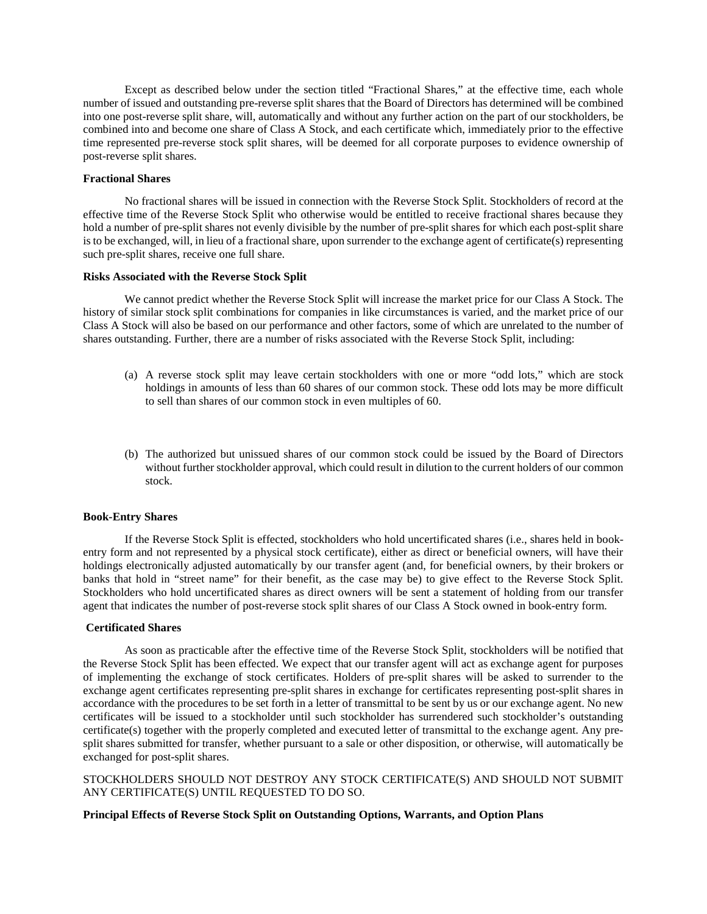Except as described below under the section titled "Fractional Shares," at the effective time, each whole number of issued and outstanding pre-reverse split shares that the Board of Directors has determined will be combined into one post-reverse split share, will, automatically and without any further action on the part of our stockholders, be combined into and become one share of Class A Stock, and each certificate which, immediately prior to the effective time represented pre-reverse stock split shares, will be deemed for all corporate purposes to evidence ownership of post-reverse split shares.

# **Fractional Shares**

No fractional shares will be issued in connection with the Reverse Stock Split. Stockholders of record at the effective time of the Reverse Stock Split who otherwise would be entitled to receive fractional shares because they hold a number of pre-split shares not evenly divisible by the number of pre-split shares for which each post-split share is to be exchanged, will, in lieu of a fractional share, upon surrender to the exchange agent of certificate(s) representing such pre-split shares, receive one full share.

#### **Risks Associated with the Reverse Stock Split**

We cannot predict whether the Reverse Stock Split will increase the market price for our Class A Stock. The history of similar stock split combinations for companies in like circumstances is varied, and the market price of our Class A Stock will also be based on our performance and other factors, some of which are unrelated to the number of shares outstanding. Further, there are a number of risks associated with the Reverse Stock Split, including:

- (a) A reverse stock split may leave certain stockholders with one or more "odd lots," which are stock holdings in amounts of less than 60 shares of our common stock. These odd lots may be more difficult to sell than shares of our common stock in even multiples of 60.
- (b) The authorized but unissued shares of our common stock could be issued by the Board of Directors without further stockholder approval, which could result in dilution to the current holders of our common stock.

## **Book-Entry Shares**

If the Reverse Stock Split is effected, stockholders who hold uncertificated shares (i.e., shares held in bookentry form and not represented by a physical stock certificate), either as direct or beneficial owners, will have their holdings electronically adjusted automatically by our transfer agent (and, for beneficial owners, by their brokers or banks that hold in "street name" for their benefit, as the case may be) to give effect to the Reverse Stock Split. Stockholders who hold uncertificated shares as direct owners will be sent a statement of holding from our transfer agent that indicates the number of post-reverse stock split shares of our Class A Stock owned in book-entry form.

### **Certificated Shares**

As soon as practicable after the effective time of the Reverse Stock Split, stockholders will be notified that the Reverse Stock Split has been effected. We expect that our transfer agent will act as exchange agent for purposes of implementing the exchange of stock certificates. Holders of pre-split shares will be asked to surrender to the exchange agent certificates representing pre-split shares in exchange for certificates representing post-split shares in accordance with the procedures to be set forth in a letter of transmittal to be sent by us or our exchange agent. No new certificates will be issued to a stockholder until such stockholder has surrendered such stockholder's outstanding certificate(s) together with the properly completed and executed letter of transmittal to the exchange agent. Any presplit shares submitted for transfer, whether pursuant to a sale or other disposition, or otherwise, will automatically be exchanged for post-split shares.

# STOCKHOLDERS SHOULD NOT DESTROY ANY STOCK CERTIFICATE(S) AND SHOULD NOT SUBMIT ANY CERTIFICATE(S) UNTIL REQUESTED TO DO SO.

# **Principal Effects of Reverse Stock Split on Outstanding Options, Warrants, and Option Plans**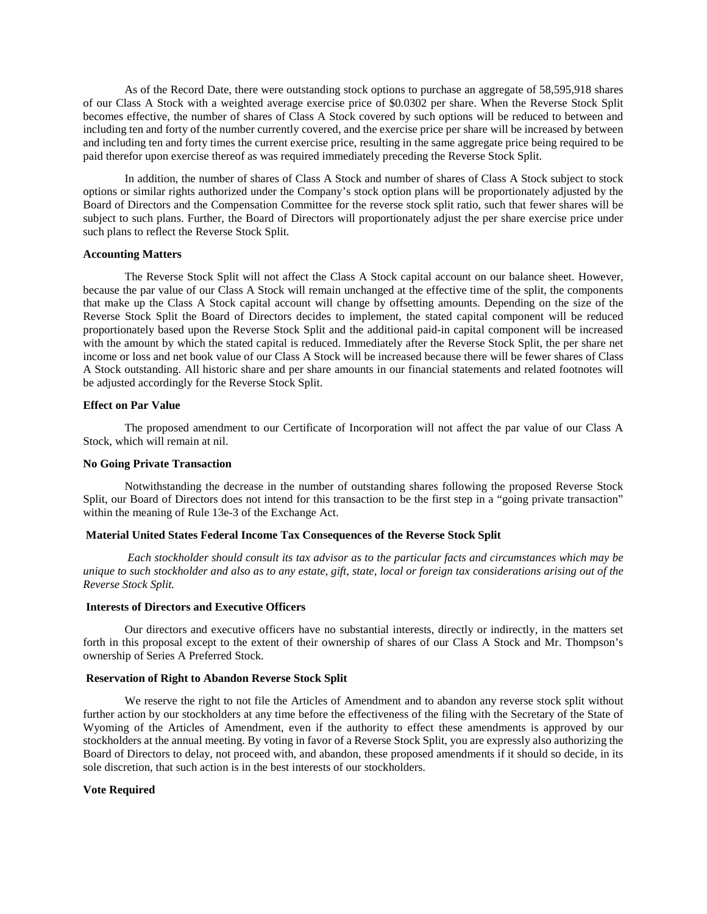As of the Record Date, there were outstanding stock options to purchase an aggregate of 58,595,918 shares of our Class A Stock with a weighted average exercise price of \$0.0302 per share. When the Reverse Stock Split becomes effective, the number of shares of Class A Stock covered by such options will be reduced to between and including ten and forty of the number currently covered, and the exercise price per share will be increased by between and including ten and forty times the current exercise price, resulting in the same aggregate price being required to be paid therefor upon exercise thereof as was required immediately preceding the Reverse Stock Split.

In addition, the number of shares of Class A Stock and number of shares of Class A Stock subject to stock options or similar rights authorized under the Company's stock option plans will be proportionately adjusted by the Board of Directors and the Compensation Committee for the reverse stock split ratio, such that fewer shares will be subject to such plans. Further, the Board of Directors will proportionately adjust the per share exercise price under such plans to reflect the Reverse Stock Split.

# **Accounting Matters**

The Reverse Stock Split will not affect the Class A Stock capital account on our balance sheet. However, because the par value of our Class A Stock will remain unchanged at the effective time of the split, the components that make up the Class A Stock capital account will change by offsetting amounts. Depending on the size of the Reverse Stock Split the Board of Directors decides to implement, the stated capital component will be reduced proportionately based upon the Reverse Stock Split and the additional paid-in capital component will be increased with the amount by which the stated capital is reduced. Immediately after the Reverse Stock Split, the per share net income or loss and net book value of our Class A Stock will be increased because there will be fewer shares of Class A Stock outstanding. All historic share and per share amounts in our financial statements and related footnotes will be adjusted accordingly for the Reverse Stock Split.

### **Effect on Par Value**

The proposed amendment to our Certificate of Incorporation will not affect the par value of our Class A Stock, which will remain at nil.

# **No Going Private Transaction**

Notwithstanding the decrease in the number of outstanding shares following the proposed Reverse Stock Split, our Board of Directors does not intend for this transaction to be the first step in a "going private transaction" within the meaning of Rule [13e-3](http://apps.intelligize.com/SecuritiesDraftingAndCompliance?key=eyJ0eXBlIjoiU0RDX0RPQ1VNRU5UIiwiZGF0YSI6eyJjYXRlZ29yeU5hbWUiOiJSZWc6RXhjaGFuZ2UgQWN0LFNlYzoxM2UtMyIsInNlY3Rpb25OYW1lIjoiMTNlLTMifX0=) of the [Exchange Act.](http://apps.intelligize.com/SecuritiesDraftingAndCompliance?key=eyJ0eXBlIjoiU0RDX0RPQ1VNRU5UIiwiZGF0YSI6eyJjYXRlZ29yeU5hbWUiOiJSZWc6RXhjaGFuZ2UgQWN0LFNlYzoxM2UtMyJ9fQ==)

### **Material United States Federal Income Tax Consequences of the Reverse Stock Split**

*Each stockholder should consult its tax advisor as to the particular facts and circumstances which may be unique to such stockholder and also as to any estate, gift, state, local or foreign tax considerations arising out of the Reverse Stock Split.*

### **Interests of Directors and Executive Officers**

Our directors and executive officers have no substantial interests, directly or indirectly, in the matters set forth in this proposal except to the extent of their ownership of shares of our Class A Stock and Mr. Thompson's ownership of Series A Preferred Stock.

# **Reservation of Right to Abandon Reverse Stock Split**

We reserve the right to not file the Articles of Amendment and to abandon any reverse stock split without further action by our stockholders at any time before the effectiveness of the filing with the Secretary of the State of Wyoming of the Articles of Amendment, even if the authority to effect these amendments is approved by our stockholders at the annual meeting. By voting in favor of a Reverse Stock Split, you are expressly also authorizing the Board of Directors to delay, not proceed with, and abandon, these proposed amendments if it should so decide, in its sole discretion, that such action is in the best interests of our stockholders.

### **Vote Required**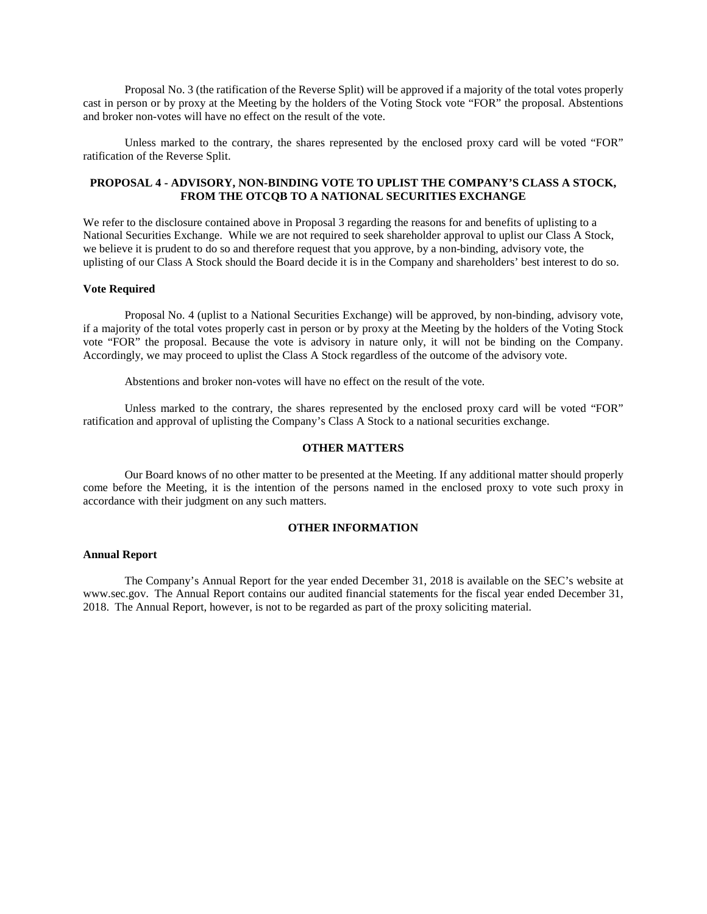Proposal No. 3 (the ratification of the Reverse Split) will be approved if a majority of the total votes properly cast in person or by proxy at the Meeting by the holders of the Voting Stock vote "FOR" the proposal. Abstentions and broker non-votes will have no effect on the result of the vote.

Unless marked to the contrary, the shares represented by the enclosed proxy card will be voted "FOR" ratification of the Reverse Split.

# **PROPOSAL 4 - ADVISORY, NON-BINDING VOTE TO UPLIST THE COMPANY'S CLASS A STOCK, FROM THE OTCQB TO A NATIONAL SECURITIES EXCHANGE**

We refer to the disclosure contained above in Proposal 3 regarding the reasons for and benefits of uplisting to a National Securities Exchange. While we are not required to seek shareholder approval to uplist our Class A Stock, we believe it is prudent to do so and therefore request that you approve, by a non-binding, advisory vote, the uplisting of our Class A Stock should the Board decide it is in the Company and shareholders' best interest to do so.

### **Vote Required**

Proposal No. 4 (uplist to a National Securities Exchange) will be approved, by non-binding, advisory vote, if a majority of the total votes properly cast in person or by proxy at the Meeting by the holders of the Voting Stock vote "FOR" the proposal. Because the vote is advisory in nature only, it will not be binding on the Company. Accordingly, we may proceed to uplist the Class A Stock regardless of the outcome of the advisory vote.

Abstentions and broker non-votes will have no effect on the result of the vote.

Unless marked to the contrary, the shares represented by the enclosed proxy card will be voted "FOR" ratification and approval of uplisting the Company's Class A Stock to a national securities exchange.

### **OTHER MATTERS**

Our Board knows of no other matter to be presented at the Meeting. If any additional matter should properly come before the Meeting, it is the intention of the persons named in the enclosed proxy to vote such proxy in accordance with their judgment on any such matters.

# **OTHER INFORMATION**

#### **Annual Report**

The Company's Annual Report for the year ended December 31, 2018 is available on the SEC's website at www.sec.gov. The Annual Report contains our audited financial statements for the fiscal year ended December 31, 2018. The Annual Report, however, is not to be regarded as part of the proxy soliciting material.